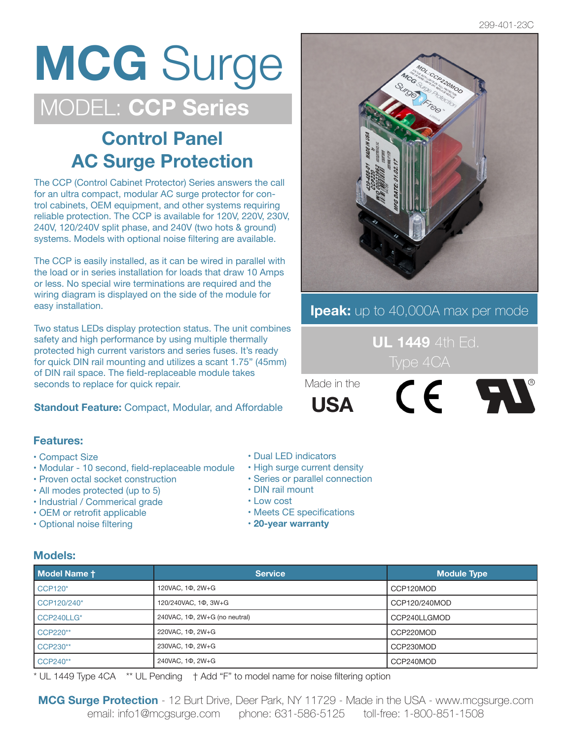## **MCG** Surge MODEL: **CCP Series**

### **Control Panel AC Surge Protection**

The CCP (Control Cabinet Protector) Series answers the call for an ultra compact, modular AC surge protector for control cabinets, OEM equipment, and other systems requiring reliable protection. The CCP is available for 120V, 220V, 230V, 240V, 120/240V split phase, and 240V (two hots & ground) systems. Models with optional noise filtering are available.

The CCP is easily installed, as it can be wired in parallel with the load or in series installation for loads that draw 10 Amps or less. No special wire terminations are required and the wiring diagram is displayed on the side of the module for easy installation.

Two status LEDs display protection status. The unit combines safety and high performance by using multiple thermally protected high current varistors and series fuses. It's ready for quick DIN rail mounting and utilizes a scant 1.75" (45mm) of DIN rail space. The field-replaceable module takes seconds to replace for quick repair.

**Standout Feature:** Compact, Modular, and Affordable

#### **Features:**

- Compact Size
- Modular 10 second, field-replaceable module
- Proven octal socket construction
- All modes protected (up to 5)
- Industrial / Commerical grade
- OEM or retrofit applicable
- Optional noise filtering
- Dual LED indicators
- High surge current density
- Series or parallel connection
- DIN rail mount
- Low cost
- Meets CE specifications
- **20-year warranty**

#### **Models:**

| Model Name t   | <b>Service</b>                | <b>Module Type</b> |  |
|----------------|-------------------------------|--------------------|--|
| <b>CCP120*</b> | 120VAC, 10, 2W+G              | CCP120MOD          |  |
| CCP120/240*    | 120/240VAC, 10, 3W+G          | CCP120/240MOD      |  |
| CCP240LLG*     | 240VAC, 10, 2W+G (no neutral) | CCP240LLGMOD       |  |
| CCP220**       | 220VAC, 10, 2W+G              | CCP220MOD          |  |
| CCP230**       | 230VAC, 10, 2W+G              | CCP230MOD          |  |
| CCP240**       | 240VAC, 10, 2W+G              | CCP240MOD          |  |

\* UL 1449 Type 4CA \*\* UL Pending † Add "F" to model name for noise filtering option



#### **Ipeak:** up to 40,000A max per mode

 **UL 1449** 4th Ed.

Made in the **USA**